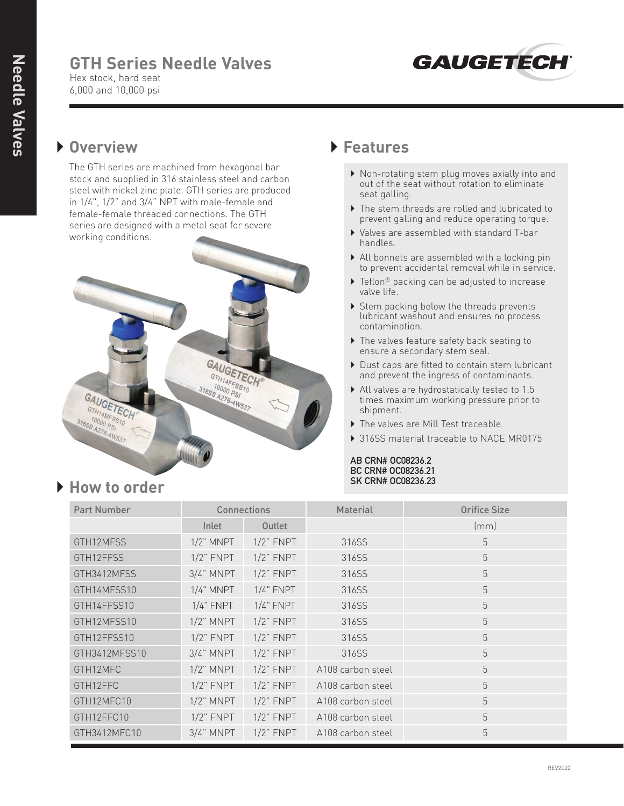# **GTH Series Needle Valves**



Hex stock, hard seat 6,000 and 10,000 psi

#### } **Overview**

 The GTH series are machined from hexagonal bar stock and supplied in 316 stainless steel and carbon steel with nickel zinc plate. GTH series are produced in 1/4", 1/2" and 3/4" NPT with male-female and female-female threaded connections. The GTH series are designed with a metal seat for severe working conditions.



#### } **Features**

- } Non-rotating stem plug moves axially into and out of the seat without rotation to eliminate seat galling.
- } The stem threads are rolled and lubricated to prevent galling and reduce operating torque.
- } Valves are assembled with standard T-bar handles.
- } All bonnets are assembled with a locking pin to prevent accidental removal while in service.
- ▶ Teflon® packing can be adjusted to increase valve life.
- ▶ Stem packing below the threads prevents lubricant washout and ensures no process contamination.
- ▶ The valves feature safety back seating to ensure a secondary stem seal.
- } Dust caps are fitted to contain stem lubricant and prevent the ingress of contaminants.
- } All valves are hydrostatically tested to 1.5 times maximum working pressure prior to shipment.
- } The valves are Mill Test traceable.
- ▶ 316SS material traceable to NACE MR0175

#### **AB CRN# OC08236.2 BC CRN# OC08236.21 SK CRN# OC08236.23**

| <b>Part Number</b> | Connections    |                | Material          | <b>Orifice Size</b> |
|--------------------|----------------|----------------|-------------------|---------------------|
|                    | Inlet          | Outlet         |                   | (mm)                |
| GTH12MFSS          | $1/2$ " MNPT   | $1/2$ " FNPT   | 316SS             | 5                   |
| GTH12FFSS          | $1/2$ " $FNPT$ | $1/2$ " FNPT   | 316SS             | 5                   |
| GTH3412MFSS        | $3/4$ " MNPT   | $1/2$ " FNPT   | 316SS             | 5                   |
| GTH14MFSS10        | $1/4$ " MNPT   | $1/4$ " FNPT   | 316SS             | 5                   |
| GTH14FFSS10        | $1/4$ " FNPT   | $1/4$ " FNPT   | 316SS             | 5                   |
| GTH12MFSS10        | $1/2$ " MNPT   | $1/2$ " FNPT   | 316SS             | 5                   |
| GTH12FFSS10        | $1/2$ " $FNPT$ | $1/2$ " FNPT   | 316SS             | 5                   |
| GTH3412MFSS10      | $3/4$ " MNPT   | $1/2$ " FNPT   | 316SS             | 5                   |
| GTH12MFC           | $1/2$ " MNPT   | $1/2$ " FNPT   | A108 carbon steel | 5                   |
| GTH12FFC           | $1/2$ " FNPT   | $1/2$ " $FNPT$ | A108 carbon steel | 5                   |
| GTH12MFC10         | $1/2$ " MNPT   | $1/2$ " $FNPT$ | A108 carbon steel | 5                   |
| GTH12FFC10         | $1/2$ " $FNPT$ | $1/2$ " FNPT   | A108 carbon steel | 5                   |
| GTH3412MFC10       | $3/4$ " MNPT   | $1/2$ " FNPT   | A108 carbon steel | 5                   |

## } **How to order**